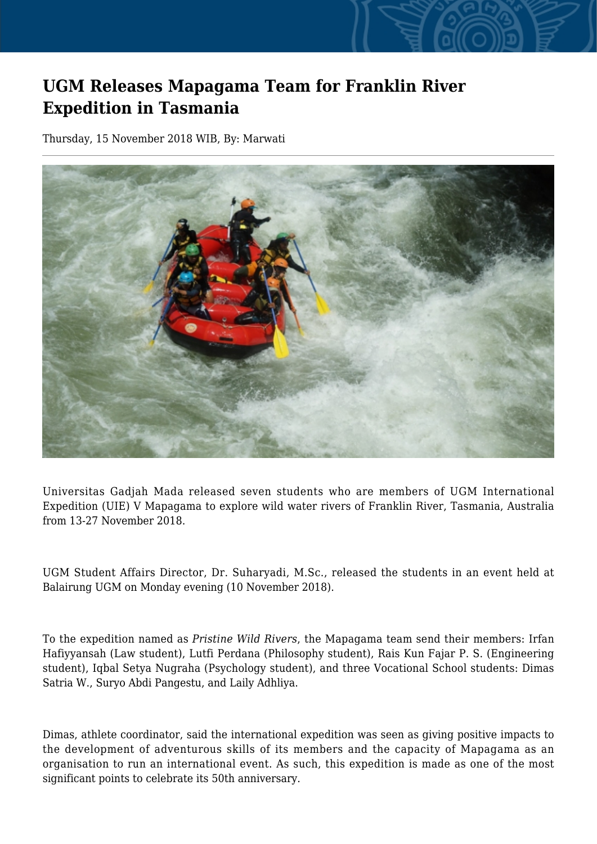## **UGM Releases Mapagama Team for Franklin River Expedition in Tasmania**

Thursday, 15 November 2018 WIB, By: Marwati



Universitas Gadjah Mada released seven students who are members of UGM International Expedition (UIE) V Mapagama to explore wild water rivers of Franklin River, Tasmania, Australia from 13-27 November 2018.

UGM Student Affairs Director, Dr. Suharyadi, M.Sc., released the students in an event held at Balairung UGM on Monday evening (10 November 2018).

To the expedition named as *Pristine Wild Rivers*, the Mapagama team send their members: Irfan Hafiyyansah (Law student), Lutfi Perdana (Philosophy student), Rais Kun Fajar P. S. (Engineering student), Iqbal Setya Nugraha (Psychology student), and three Vocational School students: Dimas Satria W., Suryo Abdi Pangestu, and Laily Adhliya.

Dimas, athlete coordinator, said the international expedition was seen as giving positive impacts to the development of adventurous skills of its members and the capacity of Mapagama as an organisation to run an international event. As such, this expedition is made as one of the most significant points to celebrate its 50th anniversary.